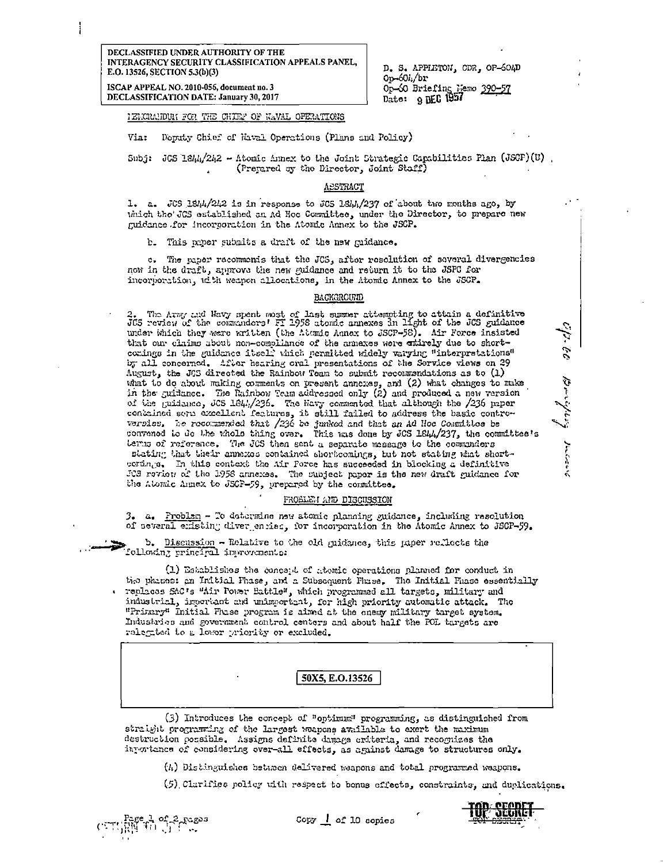ISCAP APPEAL NO. 2010-056, document no. 3 DECLASSIFICATION DATE: January 30, 2017 D. S. APPLETON, CDR, OP-604D  $0p - 60l$  br Op-60 Briefing Nemo 390-57<br>Date: 9 DEC 1957

IEMORANDUM FOR THE CHIEF OF WAVAL OFERATIONS

Deputy Chief of Naval Operations (Plans and Policy)  $V_{1,1}$ :

Subj: JGS 1844/242 - Atomic Annex to the Joint Strategic Capabilities Plan (JSGF)(U) (Prepared by the Director, Joint Staff)

## ASSTRACT

1. a. JCS 1844/242 is in response to JCS 1844/237 of about two months ago, by which the JCS established an Ad Hoc Committee, under the Director, to prepare new guidance for incorporation in the Atomic Annex to the JSCP.

b. This paper submits a draft of the new quidance.

c. The paper recomments that the JCS, after resolution of several divergencies now in the draft, approve the new guidance and return it to the JSPC for incorportion, with weapon allocations, in the Atomic Annex to the JSCP.

## BACKGROUND

2. The Army and Wavy spent most of last summer attempting to attain a definitive JCS review of the commanders' FI 1958 atomic annexes in light of the JCS guidance under which they were written (the Atomic Annex to JSCP-58). Air Force insisted that our claims about non-compliance of the annexes were entirely due to shortcomings in the guidence itself which permitted widely varying "interpretations" by all concerned. After hearing oral presentations of the Service views on 29 August, the JGS directed the Rainbow Team to submit recommendations as to (1) what to do about making comments on present annouss, and (2) what changes to make in the guidance. The Rainbow Team addressed only (2) and produced a new version of the guidance, JCS 1844/236. The havy commented that although the /236 paper contained serie excellent features, it still failed to address the basic controversies. The recommended that /236 be junked and that an Ad Hoc Committee be convened to do the whole thing over. This was done by JCS 1844/237, the committee's terus of reference. The JCS then sent a separate message to the commanders stating that their annexes contained shortcomings, but not stating what shortcertings. In this context the Air Porce has succeeded in blocking a definitive JCS review of the 1958 annexes. The subject paper is the new draft guidance for the Atomic Annex to JSCF-59, prepared by the committee.

## FROBLEM AND DISCUSSION

3. a. Problem - To determine new atomic planning guidance, including resolution of several emisting divergencies, for incorporation in the Atomic Annex to JSGP-59.

b. Discussion - Relative to the old guidance, this paper reflects the Lellowing principal improvements:

(1) Establishes the concept of atomic operations planned for conduct in the phases: an Initial Fhase, and a Subsequent Phase. The Initial Phase essentially . replaces SAC's "Air Power Battle", which programmed all targets, military and industrial, important and unimportant, for high priority automatic attack. The "Primary" Initial Fluse program is aimed at the enemy military target system. Industries and government control centers and about half the FOL targets are relegited to a lower priority or excluded.

# 50X5, E.O.13526

(3) Introduces the concept of "optimum" programming, as distinguished from straight programming of the largest weapons available to exert the maximum destruction possible. Assigns definite damage criteria, and recognizes the importance of considering over-all effects, as against damage to structures only.

(h) Distinguishes between delivered waapons and total programmed waapons.

(5) Clurifies policy with respect to bonus effects, constraints, and duplications.



p. 60 Brighting Judovs

Copy 1 of 10 copies